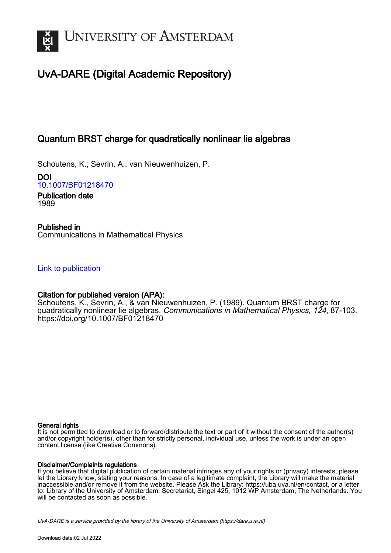

# UvA-DARE (Digital Academic Repository)

## Quantum BRST charge for quadratically nonlinear lie algebras

Schoutens, K.; Sevrin, A.; van Nieuwenhuizen, P.

DOI [10.1007/BF01218470](https://doi.org/10.1007/BF01218470)

Publication date 1989

Published in Communications in Mathematical Physics

[Link to publication](https://dare.uva.nl/personal/pure/en/publications/quantum-brst-charge-for-quadratically-nonlinear-lie-algebras(cbbdfdc9-e6d5-4a76-8d9b-f89a4c03de8a).html)

### Citation for published version (APA):

Schoutens, K., Sevrin, A., & van Nieuwenhuizen, P. (1989). Quantum BRST charge for quadratically nonlinear lie algebras. Communications in Mathematical Physics, 124, 87-103. <https://doi.org/10.1007/BF01218470>

#### General rights

It is not permitted to download or to forward/distribute the text or part of it without the consent of the author(s) and/or copyright holder(s), other than for strictly personal, individual use, unless the work is under an open content license (like Creative Commons).

#### Disclaimer/Complaints regulations

If you believe that digital publication of certain material infringes any of your rights or (privacy) interests, please let the Library know, stating your reasons. In case of a legitimate complaint, the Library will make the material inaccessible and/or remove it from the website. Please Ask the Library: https://uba.uva.nl/en/contact, or a letter to: Library of the University of Amsterdam, Secretariat, Singel 425, 1012 WP Amsterdam, The Netherlands. You will be contacted as soon as possible.

UvA-DARE is a service provided by the library of the University of Amsterdam (http*s*://dare.uva.nl)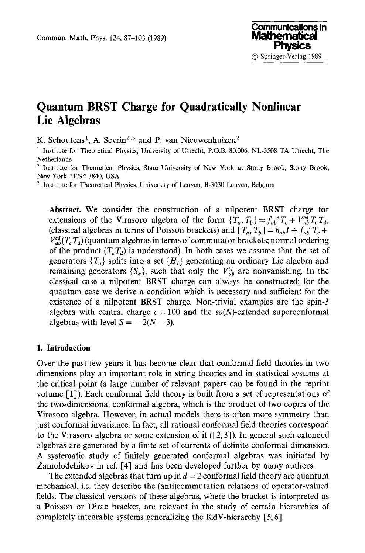### **Quantum BRST Charge for Quadratically Nonlinear Lie Algebras**

K. Schoutens<sup>1</sup>, A. Sevrin<sup>2,3</sup> and P. van Nieuwenhuizen<sup>2</sup>

<sup>1</sup> Institute for Theoretical Physics, University of Utrecht, P.O.B. 80.006, NL-3508 TA Utrecht, The Netherlands

2 Institute for Theoretical Physics, State University of New York at Stony Brook, Stony Brook, New York 11794-3840, USA

<sup>3</sup> Institute for Theoretical Physics, University of Leuven, B-3030 Leuven, Belgium

**Abstract.** We consider the construction of a nilpotent BRST charge for extensions of the Virasoro algebra of the form  ${T_a, T_b} = f_{ab}^{\ c} T_c + V_{ab}^{\text{cd}} T_c T_d$ , (classical algebras in terms of Poisson brackets) and  $[T_a, T_b] = h_{ab}I + f_{ab}{}^cT_c +$  $V_{ab}^{cd}(T_c T_d)$  (quantum algebras in terms of commutator brackets; normal ordering of the product  $(T_c T_d)$  is understood). In both cases we assume that the set of generators  $\{T_a\}$  splits into a set  $\{H_i\}$  generating an ordinary Lie algebra and remaining generators  $\{S_\alpha\}$ , such that only the  $V_{\alpha\beta}^{ij}$  are nonvanishing. In the classical case a nilpotent BRST charge can always be constructed; for the quantum case we derive a condition which is necessary and sufficient for the existence of a nilpotent BRST charge. Non-trivial examples are the spin-3 algebra with central charge  $c = 100$  and the  $so(N)$ -extended superconformal algebras with level  $S = -2(N - 3)$ .

#### **1. Introduction**

Over the past few years it has become clear that conformal field theories in two dimensions play an important role in string theories and in statistical systems at the critical point (a large number of relevant papers can be found in the reprint volume [1]). Each conformal field theory is built from a set of representations of the two-dimensional conformal algebra, which is the product of two copies of the Virasoro algebra. However, in actual models there is often more symmetry than just conformal invariance. In fact, all rational conformal field theories correspond to the Virasoro algebra or some extension of it  $(2, 3]$ ). In general such extended algebras are generated by a finite set of currents of definite conformal dimension. A systematic study of finitely generated conformal algebras was initiated by Zamolodchikov in ref. [4] and has been developed further by many authors.

The extended algebras that turn up in  $d = 2$  conformal field theory are quantum mechanical, i.e. they describe the (anti)commutation relations of operator-valued fields. The classical versions of these algebras, where the bracket is interpreted as a Poisson or Dirac bracket, are relevant in the study of certain hierarchies of completely integrable systems generalizing the KdV-hierarchy [5, 6].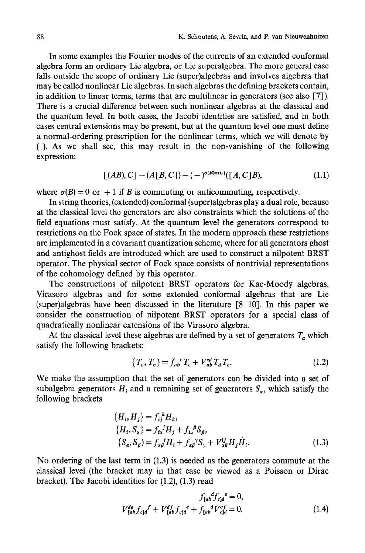In some examples the Fourier modes of the currents of an extended conformal algebra form an ordinary Lie algebra, or Lie superalgebra. The more general case falls outside the scope of ordinary Lie (super)algebras and involves algebras that may be called nonlinear Lie algebras. In such algebras the defining brackets contain, in addition to linear terms, terms that are multilinear in generators (see also [7]). There is a crucial difference between such nonlinear algebras at the classical and the quantum level. In both cases, the Jacobi identities are satisfied, and in both cases central extensions may be present, but at the quantum level one must define a normal-ordering prescription for the nonlinear terms, which we will denote by (). As we shall see, this may result in the non-vanishing of the following expression:

$$
[(AB), C] - (A[B, C]) - (-)^{\sigma(B)\sigma(C)}([A, C]B), \tag{1.1}
$$

where  $\sigma(B) = 0$  or  $+ 1$  if B is commuting or anticommuting, respectively.

In string theories, (extended) conformal (super)algebras play a dual role, because at the classical level the generators are also constraints which the solutions of the field equations must satisfy. At the quantum level the generators correspond to restrictions on the Fock space of states. In the modern approach these restrictions are implemented in a covariant quantization scheme, where for all generators ghost and antighost fields are introduced which are used to construct a nilpotent BRST operator. The physical sector of Fock space consists of nontrivial representations of the cohomology defined by this operator.

The constructions of nilpotent BRST operators for Kac-Moody algebras, Virasoro algebras and for some extended conformal algebras that are Lie (super)algebras have been discussed in the literature [8-10]. In this paper we consider the construction of nilpotent BRST operators for a special class of quadratically nonlinear extensions of the Virasoro algebra.

At the classical level these algebras are defined by a set of generators  $T_a$  which satisfy the following brackets:

$$
\{T_a, T_b\} = f_{ab}^{\ \ c} T_c + V_{ab}^{cd} T_d T_c. \tag{1.2}
$$

We make the assumption that the set of generators can be divided into a set of subalgebra generators  $H_i$  and a remaining set of generators  $S_{\sigma}$ , which satisfy the following brackets

$$
\{H_i, H_j\} = f_{ij}^k H_k,
$$
  
\n
$$
\{H_i, S_\alpha\} = f_{i\alpha}^j H_j + f_{i\alpha}^{\beta} S_\beta,
$$
  
\n
$$
\{S_\alpha, S_\beta\} = f_{\alpha\beta}^{\ \ i} H_i + f_{\alpha\beta}^{\ \gamma} S_\gamma + V_{\alpha\beta}^i H_j \dot{H}_i.
$$
\n(1.3)

No ordering of the last term in (1.3) is needed as the generators commute at the classical level (the bracket may in that case be viewed as a Poisson or Dirac bracket). The Jacobi identities for (1.2), (1.3) read

$$
f_{[ab}{}^b f_{c]d}{}^e = 0,
$$
  

$$
V_{[ab}^{de} f_{c]d}{}^f + V_{[ab}{}^d f_{c]d}{}^e + f_{[ab}{}^d V_{c]d}{}^e = 0.
$$
 (1.4)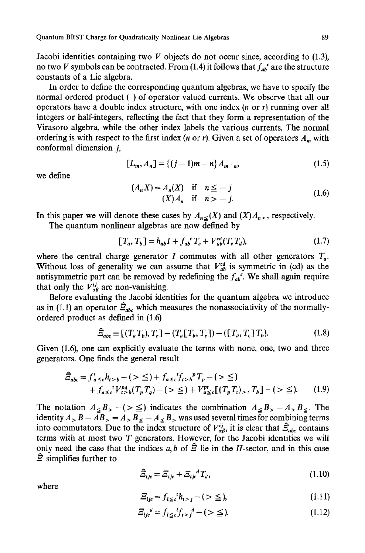Jacobi identities containing two  $V$  objects do not occur since, according to (1.3), no two V symbols can be contracted. From (1.4) it follows that  $f_{ab}$  are the structure constants of a Lie algebra.

In order to define the corresponding quantum algebras, we have to specify the normal ordered product ( ) of operator valued currents. We observe that all our operators have a double index structure, with one index  $(n \text{ or } r)$  running over all integers or half-integers, reflecting the fact that they form a representation of the Virasoro algebra, while the other index labels the various currents. The normal ordering is with respect to the first index (*n* or *r*). Given a set of operators  $A_m$  with conformal dimension  $i$ ,

$$
[L_m, A_n] = \{(j-1)m - n\}A_{m+n},\tag{1.5}
$$

we define

$$
(A_n X) = A_n(X) \quad \text{if} \quad n \leq -j
$$
\n
$$
(X) A_n \quad \text{if} \quad n > -j.
$$
\n
$$
(1.6)
$$

In this paper we will denote these cases by  $A_{n} \leq (X)$  and  $(X)A_{n}$ , respectively.

The quantum nonlinear algebras are now defined by

$$
[T_a, T_b] = h_{ab}I + f_{ab}^c T_c + V_{ab}^{cd}(T_c T_d),
$$
\n(1.7)

where the central charge generator I commutes with all other generators  $T_a$ . Without loss of generality we can assume that  $V_{ab}^{cd}$  is symmetric in (cd) as the antisymmetric part can be removed by redefining the  $f_{ab}^{\ c}$ . We shall again require that only the  $V_{\alpha\beta}^{ij}$  are non-vanishing.

Before evaluating the Jacobi identities for the quantum algebra we introduce as in (1.1) an operator  $\hat{\Xi}_{abc}$  which measures the nonassociativity of the normallyordered product as defined in (1.6)

$$
\widehat{\mathcal{Z}}_{abc} \equiv \left[ (T_a T_b), T_c \right] - (T_a [T_b, T_c]) - (\left[ T_a, T_c \right] T_b). \tag{1.8}
$$

Given (1.6), one can explicitly evaluate the terms with none, one, two and three generators. One finds the general result

$$
\hat{Z}_{abc} = f'_{a \leq c} h_{t>b} - (>\leq) + f_{a \leq c} f_{t>b}^p T_p - (>\leq)
$$
  
+  $f_{a \leq c} f' P_{t>b}^q (T_p T_q) - (>\leq) + V_{a \leq c}^{pt} [(T_p T_t)_>, T_b] - (\geq).$  (1.9)

The notation  $A_{\leq B}$ ,  $- (> \leq )$  indicates the combination  $A_{\leq B}$ ,  $- A_{> B_{\leq}}$ . The identity  $A > B - \overline{A}B > A > B \le -A \le B >$  was used several times for combining terms into commutators. Due to the index structure of  $V_{\alpha\beta}^{ij}$ , it is clear that  $\hat{\Xi}_{abc}$  contains terms with at most two  $T$  generators. However, for the Jacobi identities we will only need the case that the indices a, b of  $\hat{\Xi}$  lie in the H-sector, and in this case  $\hat{z}$  simplifies further to

$$
\hat{\Xi}_{ijc} = \Xi_{ijc} + \Xi_{ijc}{}^d T_d, \qquad (1.10)
$$

where

$$
\Xi_{ijc} = f_{i \leq c} t h_{i > j} - (>\leq), \tag{1.11}
$$

$$
\Xi_{ij}{}^d = f_{i \leq c} t f_{i > j}{}^d - (\geq \leq). \tag{1.12}
$$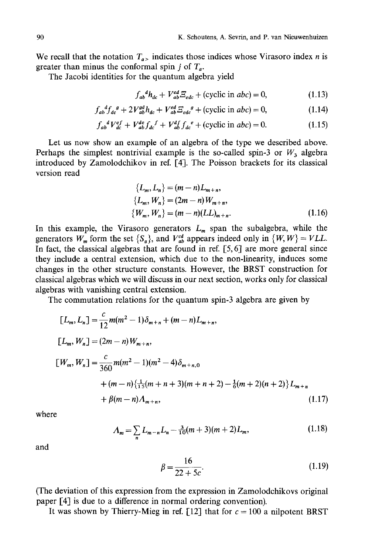We recall that the notation  $T_{\alpha}$  indicates those indices whose Virasoro index *n* is greater than minus the conformal spin j of  $T_a$ .

The Jacobi identities for the quantum algebra yield

$$
f_{ab}^{\ d}h_{dc} + V_{ab}^{ed} \Xi_{edc} + \text{(cyclic in } abc) = 0,\tag{1.13}
$$

$$
f_{ab}^{\quad d}f_{dc}^{\quad g} + 2V_{ab}^{gd}h_{dc} + V_{ab}^{ed}E_{edc}^{\quad g} + \text{(cyclic in }abc\text{)} = 0,\tag{1.14}
$$

$$
f_{ab}^{~~d}V_{dc}^{ef} + V_{ab}^{de}f_{dc}^{~~f} + V_{ab}^{df}f_{dc}^{~~e} + \text{(cyclic in } abc) = 0. \tag{1.15}
$$

Let us now show an example of an algebra of the type we described above. Perhaps the simplest nontrivial example is the so-called spin-3 or  $W_3$  algebra introduced by Zamolodchikov in ref. [4]. The Poisson brackets for its classical version read

$$
\{L_m, L_n\} = (m - n)L_{m+n},
$$
  
\n
$$
\{L_m, W_n\} = (2m - n)W_{m+n},
$$
  
\n
$$
\{W_m, W_n\} = (m - n)(LL)_{m+n}.
$$
\n(1.16)

In this example, the Virasoro generators  $L_m$  span the subalgebra, while the generators  $W_m$  form the set  $\{S_\alpha\}$ , and  $V_{ab}^{cd}$  appears indeed only in  $\{W, W\} = VLL$ . In fact, the classical algebras that are found in ref.  $[5, 6]$  are more general since they include a central extension, which due to the non-linearity, induces some changes in the other structure constants. However, the BRST construction for classical algebras which we will discuss in our next section, works only for classical algebras with vanishing central extension.

The commutation relations for the quantum spin-3 algebra are given by

$$
[L_m, L_n] = \frac{c}{12} m(m^2 - 1) \delta_{m+n} + (m - n) L_{m+n},
$$
  
\n
$$
[L_m, W_n] = (2m - n) W_{m+n},
$$
  
\n
$$
[W_m, W_n] = \frac{c}{360} m(m^2 - 1)(m^2 - 4) \delta_{m+n,0}
$$
  
\n
$$
+ (m - n) {\frac{1}{15}} (m + n + 3)(m + n + 2) - \frac{1}{6} (m + 2)(n + 2) L_{m+n}
$$
  
\n
$$
+ \beta(m - n) A_{m+n},
$$
\n(1.17)

where

$$
A_m = \sum_{n} L_{m-n} L_n - \frac{3}{10}(m+3)(m+2) L_m, \tag{1.18}
$$

and

$$
\beta = \frac{16}{22 + 5c}.\tag{1.19}
$$

(The deviation of this expression from the expression in Zamolodchikovs original paper [4] is due to a difference in normal ordering convention).

It was shown by Thierry-Mieg in ref. [12] that for  $c = 100$  a nilpotent BRST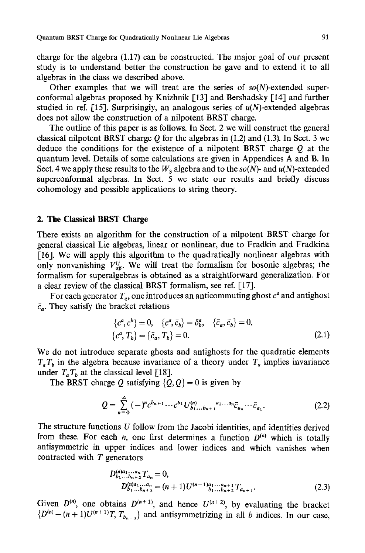charge for the algebra (1.17) can be constructed. The major goal of our present study is to understand better the construction he gave and to extend it to all algebras in the class we described above.

Other examples that we will treat are the series of *so(N)-extended* superconformal algebras proposed by Knizhnik [13] and Bershadsky [14] and further studied in ref. [15]. Surprisingly, an analogous series of  $u(N)$ -extended algebras does not allow the construction of a nilpotent BRST charge.

The outline of this paper is as follows. In Sect. 2 we will construct the general classical nilpotent BRST charge  $O$  for the algebras in (1.2) and (1.3). In Sect. 3 we deduce the conditions for the existence of a nilpotent BRST charge Q at the quantum level. Details of some calculations are given in Appendices A and B. In Sect. 4 we apply these results to the  $W_3$  algebra and to the  $so(N)$ - and  $u(N)$ -extended superconformal algebras. In Sect. 5 we state our results and briefly discuss cohomology and possible applications to string theory.

#### **2. The Classical BRST Charge**

There exists an algorithm for the construction of a ailpotent BRST charge for general classical Lie algebras, linear or nonlinear, due to Fradkin and Fradkina [16]. We will apply this algorithm to the quadratically nonlinear algebras with only nonvanishing  $V_{\alpha\beta}^{ij}$ . We will treat the formalism for bosonic algebras; the formalism for superalgebras is obtained as a straightforward generalization. For a clear review of the classical BRST formalism, see ref.  $[17]$ .

For each generator  $T_a$ , one introduces an anticommuting ghost  $c^a$  and antighost  $\bar{c}_a$ . They satisfy the bracket relations

$$
\begin{aligned} \{c^a, c^b\} &= 0, \quad \{c^a, \bar{c}_b\} = \delta^a_b, \quad \{\bar{c}_a, \bar{c}_b\} = 0, \\ \{c^a, T_b\} &= \{\bar{c}_a, T_b\} = 0. \end{aligned} \tag{2.1}
$$

We do not introduce separate ghosts and antighosts for the quadratic elements  $T_a T_b$  in the algebra because invariance of a theory under  $T_a$  implies invariance under  $T_a T_b$  at the classical level [18].

The BRST charge Q satisfying  $\{Q, Q\} = 0$  is given by

$$
Q = \sum_{n=0}^{\infty} (-)^n c^{b_{n+1}} \cdots c^{b_1} U_{b_1 \ldots b_{n+1}}^{(n)}{}^{a_1 \ldots a_n} \bar{c}_{a_n} \cdots \bar{c}_{a_1}.
$$
 (2.2)

The structure functions  $U$  follow from the Jacobi identities, and identities derived from these. For each *n*, one first determines a function  $D^{(n)}$  which is totally antisymmetric in upper indices and lower indices and which vanishes when contracted with T generators

$$
D_{b_1...b_{n+2}}^{(n)a_1...a_n} T_{a_n} = 0,
$$
  
\n
$$
D_{b_1...b_{n+2}}^{(n)a_1...a_n} = (n+1)U^{(n+1)a_1...a_{n+1}} T_{a_{n+1}}.
$$
  
\n(2.3)

Given  $D^{(n)}$ , one obtains  $D^{(n+1)}$ , and hence  $U^{(n+2)}$ , by evaluating the bracket  ${D^{(n)} - (n + 1)U^{(n+1)}T, T_{b_{n+3}}}$  and antisymmetrizing in all b indices. In our case,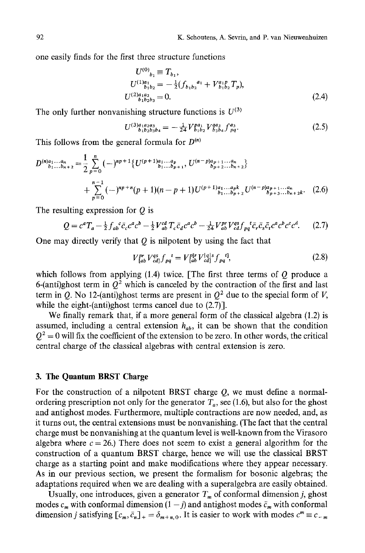one easily finds for the first three structure functions

$$
U^{(0)}_{\ b_1} \equiv T_{b_1},
$$
  
\n
$$
U^{(1)a_1}_{\ b_1 b_2} = -\frac{1}{2} (f_{b_1 b_2}{}^{a_1} + V_{b_1 b_2}{}^{a_1} T_p),
$$
  
\n
$$
U^{(2)a_1 a_2}_{\ b_1 b_2 b_3} = 0.
$$
\n(2.4)

The only further nonvanishing structure functions is  $U^{(3)}$ 

$$
U^{(3)a_1a_2a_3}_{\ b_1b_2b_3b_4} = -\frac{1}{24}V^{pa_1}_{\ b_1b_2}V^{qa_2}_{\ b_3b_4}f^{a_3}_{\ pq}.\tag{2.5}
$$

This follows from the general formula for  $D^{(n)}$ 

$$
D^{(n)a_1...a_n}_{b_1...b_{n+2}} = \frac{1}{2} \sum_{p=0}^{n} (-)^{np+1} \{ U^{(p+1)a_1...a_p}_{b_1...b_{p+1}}, U^{(n-p)a_{p+1}...a_n}_{b_{p+2}...b_{n+2}} \} + \sum_{p=0}^{n-1} (-)^{np+n} (p+1)(n-p+1) U^{(p+1)a_1...a_{p}k}_{b_1...b_{p+2}} U^{(n-p)a_{p+1}...a_n}_{b_{p+3}...b_{n+2}k}.
$$
 (2.6)

The resulting expression for  $Q$  is

$$
Q = c^{a}T_{a} - \frac{1}{2}f_{ab}{}^{c}\bar{c}_{c}c^{a}c^{b} - \frac{1}{2}V_{ab}^{cd}T_{c}\bar{c}_{d}c^{a}c^{b} - \frac{1}{24}V_{ab}^{pr}V_{cd}^{qs}f_{pq}{}^{t}\bar{c}_{r}\bar{c}_{s}\bar{c}_{t}c^{a}c^{b}c^{c}c^{d}.
$$
 (2.7)

One may directly verify that  $Q$  is nilpotent by using the fact that

$$
V_{[ab}^{pr} V_{cd]}^{qs} f_{pq}^{t} = V_{[ab}^{pr} V_{cd]}^{lg|s} f_{pq}^{t1},
$$
\n(2.8)

which follows from applying  $(1.4)$  twice. [The first three terms of  $Q$  produce a 6-(anti)ghost term in  $Q^2$  which is canceled by the contraction of the first and last term in Q. No 12-(anti)ghost terms are present in  $Q^2$  due to the special form of V, while the eight-(anti)ghost terms cancel due to  $(2.7)$ ].

We finally remark that, if a more general form of the classical algebra (1.2) is assumed, including a central extension  $h_{ab}$ , it can be shown that the condition  $Q^2 = 0$  will fix the coefficient of the extension to be zero. In other words, the critical central charge of the classical algebras with central extension is zero.

#### **3. The Quantum BRST Charge**

For the construction of a nilpotent BRST charge Q, we must define a normalordering prescription not only for the generator  $T_a$ , see (1.6), but also for the ghost and antighost modes. Furthermore, multiple contractions are now needed, and, as it turns out, the central extensions must be nonvanishing. (The fact that the central charge must be nonvanishing at the quantum level is well-known from the Virasoro algebra where  $c = 26$ .) There does not seem to exist a general algorithm for the construction of a quantum BRST charge, hence we will use the classical BRST charge as a starting point and make modifications where they appear necessary. As in our previous section, we present the formalism for bosonic algebras; the adaptations required when we are dealing with a superalgebra are easily obtained.

Usually, one introduces, given a generator  $T_m$  of conformal dimension j, ghost modes  $c_m$  with conformal dimension  $(1 - j)$  and antighost modes  $\bar{c}_m$  with conformal dimension *j* satisfying  $[c_m, \bar{c}_n]_+ = \delta_{m+n,0}$ . It is easier to work with modes  $c^m \equiv c_{-m}$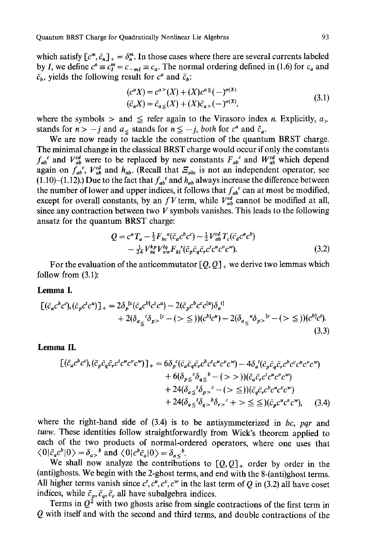which satisfy  $[c^m, \bar{c}_n]_+ = \delta^m$ . In those cases where there are several currents labeled by *I*, we define  $c^a \equiv c^m = c_{-ml} \equiv c_a$ . The normal ordering defined in (1.6) for  $c_a$  and  $\bar{c}_b$ , yields the following result for  $c^a$  and  $\bar{c}_b$ :

$$
(c^{a}X) = c^{a>} (X) + (X)c^{a} = (-)^{\sigma(X)}
$$
  
\n
$$
(\bar{c}_{a}X) = \bar{c}_{a} \le (X) + (X)\bar{c}_{a>} (-)^{\sigma(X)},
$$
\n(3.1)

where the symbols  $>$  and  $\leq$  refer again to the Virasoro index *n*. Explicitly,  $a_{>}$ stands for  $n > -j$  and  $a_{\le}$  stands for  $n \leq -j$ , both for  $c^a$  and  $\bar{c}_a$ .

We are now ready to tackle the construction of the quantum BRST charge. The minimal change in the classical BRST charge would occur if only the constants  $f_{ab}^c$  and  $V_{ab}^{ca}$  were to be replaced by new constants  $F_{ab}^c$  and  $W_{ab}^{ca}$  which depend again on  $f_a^b$ ,  $V_{ab}^a$  and  $h_{ab}$ . (Recall that  $E_{abc}$  is not an independent operator, see (1.10)-(1.12).) Due to the fact that  $f_{ab}^c$  and  $h_{ab}$  always increase the difference between the number of lower and upper indices, it follows that  $f_{ab}^c$  can at most be modified, except for overall constants, by an f V term, while  $V_{ab}^{cd}$  cannot be modified at all, since any contraction between two  $V$  symbols vanishes. This leads to the following ansatz for the quantum BRST charge:

$$
Q = c^{a} T_{a} - \frac{1}{2} F_{bc}{}^{a} (\bar{c}_{a} c^{b} c^{c}) - \frac{1}{2} V_{ab}^{cd} T_{c} (\bar{c}_{a} c^{a} c^{b})
$$
  
- 
$$
\frac{1}{24} V_{tu}^{b} V_{vw}^{l} F_{kl}{}' (\bar{c}_{p} \bar{c}_{q} \bar{c}_{r} c^{t} c^{u} c^{v} c^{v}).
$$
 (3.2)

For the evaluation of the anticommutator  $[Q, Q]_+$  we derive two lemmas which follow from (3.1):

#### **Lemma I.**

$$
\begin{split} \left[ (\bar{c}_a c^b c^c), (\bar{c}_p c^t c^u) \right]_+ &= 2\delta_p^{[c} (\bar{c}_a c^b c^t c^u) - 2(\bar{c}_p c^b c^c c^{[u]}) \delta_a^{[t]} \\ &+ 2(\delta_{a_{\leq}}{}^t \delta_{p>}{}^{[c} - (>\leq)) (c^b c^u) - 2(\delta_{a_{\leq}}{}^u \delta_{p>}{}^{[c} - (>\leq)) (c^b c^t). \end{split} \tag{3.3}
$$

#### **Lemma** II.

$$
\begin{split} \left[ (\bar{c}_a c^b c^c), (\bar{c}_p \bar{c}_q \bar{c}_r c^t c^u c^v c^w) \right]_+ &= 6\delta_p^c (\bar{c}_a \bar{c}_q \bar{c}_r c^b c^t c^u c^v c^w) - 4\delta_a^t (\bar{c}_p \bar{c}_q \bar{c}_r c^b c^c c^u c^v c^w) \\ &+ 6(\delta_{p\leq}^c \delta_{q\leq}^b - (>))) (\bar{c}_a \bar{c}_r c^t c^u c^v c^w) \\ &+ 24(\delta_{a\leq}^t \delta_{p>}^c - (>) \leq c^c) (\bar{c}_q \bar{c}_r c^b c^u c^v c^w) \\ &+ 24(\delta_{a\leq}^t \delta_{q>}^b \delta_{r>}^c + 8 \leq c^c) (\bar{c}_p c^u c^v c^w), \end{split} \tag{3.4}
$$

where the right-hand side of (3.4) is to be antisymmeterized in *bc, pqr* and *tuvw.* These identities follow straightforwardly from Wick's theorem applied to each of the two products of normal-ordered operators, where one uses that  $\langle 0|\bar{c}_a c^b|0\rangle = \delta_{a>}^b$  and  $\langle 0|c^b\bar{c}_a|0\rangle = \delta_{a}^b$ .

We shall now analyze the contributions to  $[Q, Q]_+$  order by order in the (anti)ghosts. We begin with the 2-ghost terms, and end with the 8-(anti)ghost terms. All higher terms vanish since  $c^t$ ,  $c^u$ ,  $c^v$ ,  $c^w$  in the last term of Q in (3.2) all have coset indices, while  $\bar{c}_p, \bar{c}_q, \bar{c}_r$  all have subalgebra indices.

Terms in  $Q^2$  with two ghosts arise from single contractions of the first term in Q with itself and with the second and third terms, and double contractions of the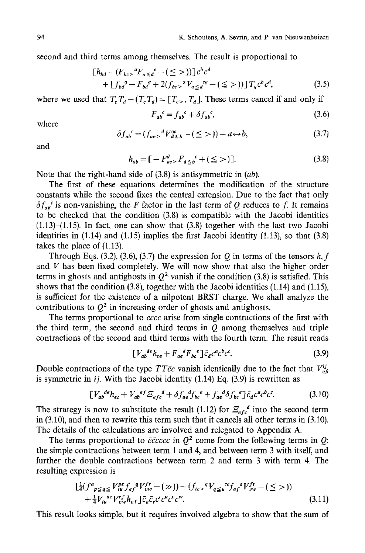second and third terms among themselves. The result is proportional to

$$
\begin{aligned} \n\left[h_{bd} + (F_{bc}^{\circ})^a F_{a \leq d}^c - (\leq >)\right] c^b c^d \\ \n&+ \left[f_{bd}^{\circ} - F_{bd}^{\circ} + 2(f_{bc}^{\circ})^a V_{a \leq d}^{\circ g} - (\leq >)\right] T_g c^b c^d, \n\end{aligned} \tag{3.5}
$$

where we used that  $T_c T_d - (T_c T_d) = [T_c, T_d]$ . These terms cancel if and only if

$$
F_{ab}^{\ \ c} = f_{ab}^{\ \ c} + \delta f_{ab}^{\ \ c},\tag{3.6}
$$

where

$$
\delta f_{ab}^{\ \ c} = (f_{ae}^{\ \ b} V_{d \leq b}^{ec} - (\leq >)) - a \leftrightarrow b,\tag{3.7}
$$

and

$$
h_{ab} = [-F_{ac}^d, F_{d \le b}^c + (\le >)].
$$
\n(3.8)

Note that the right-hand side of (3.8) is antisymmetric in *(ab).* 

The first of these equations determines the modification of the structure constants while the second fixes the central extension. Due to the fact that only  $\delta f_{ab}^i$  is non-vanishing, the F factor in the last term of Q reduces to f. It remains to be checked that the condition (3.8) is compatible with the Jacobi identities  $(1.13)$ – $(1.15)$ . In fact, one can show that  $(3.8)$  together with the last two Jacobi identities in (1.14) and (1.15) implies the first Jacobi identity (1.13), so that (3.8) takes the place of (1.13).

Through Eqs. (3.2), (3.6), (3.7) the expression for Q in terms of the tensors h, f and  $V$  has been fixed completely. We will now show that also the higher order terms in ghosts and antighosts in  $Q^2$  vanish if the condition (3.8) is satisfied. This shows that the condition (3.8), together with the Jacobi identities (1.14) and (1.15), is sufficient for the existence of a nilpotent BRST charge. We shall analyze the contributions to  $Q^2$  in increasing order of ghosts and antighosts.

The terms proportional to *6ccc* arise from single contractions of the first with the third term, the second and third terms in  $Q$  among themselves and triple contractions of the second and third terms with the fourth term. The result reads

$$
\left[V_{ab}{}^{de}h_{ce} + F_{ae}{}^dF_{bc}{}^e\right]\bar{c}_d c^a c^b c^c. \tag{3.9}
$$

Double contractions of the type *TT* $\bar{c}c$  vanish identically due to the fact that  $V_{\alpha\beta}^{ij}$ is symmetric in *ij.* With the Jacobi identity (1.14) Eq. (3.9) is rewritten as

$$
\left[V_{ab}^{de}h_{ec} + V_{ab}^{ef} \mathcal{E}_{efc}^{d} + \delta f_{ae}^{d} f_{bc}^{e} + f_{ae}^{d} \delta f_{bc}^{e}\right] \bar{c}_d c^a c^b c^c. \tag{3.10}
$$

The strategy is now to substitute the result (1.12) for  $\mathcal{Z}_{efc}^d$  into the second term in (3.10), and then to rewrite this term such that it cancels all other terms in **(3.10).**  The details of the calculations are involved and relegated to Appendix **A.** 

The terms proportional to  $\bar{c}\bar{c}c\bar{c}c\bar{c}$  in  $Q^2$  come from the following terms in Q: the simple contractions between term 1 and 4, and between term 3 with itself, and **further the double contractions between term 2 and term 3 with term 4. The**  resulting expression is

$$
\begin{split} \left[ \frac{1}{4} \left( f^{a}{}_{p \leq q \leq} V^{pe}_{tu} f_{ef}^{q} V^{fr}_{vw} - (\gg) \right) - \left( f_{tc} \right)^{q} V_{q \leq u}^{ce} f_{ef}^{q} V^{fr}_{vw} - (\leq >) \right) \\ + \frac{1}{4} V_{tu}^{ae} V^{rf}_{vw} h_{ef} \right] \bar{c}_{a} \bar{c}_{r} c^{t} c^{u} c^{v} c^{w} . \end{split} \tag{3.11}
$$

This result looks simple, but it requires involved algebra to show that the sum of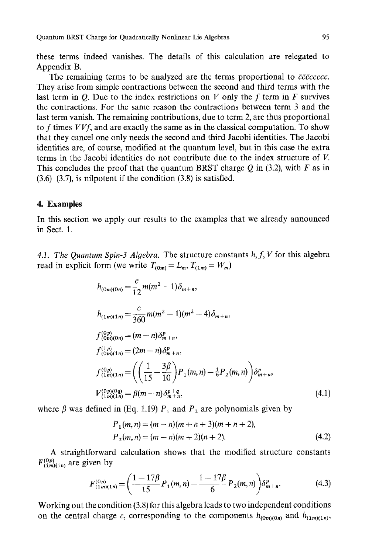these terms indeed vanishes. The details of this calculation are relegated to Appendix B.

The remaining terms to be analyzed are the terms proportional to *cccccccc.*  They arise from simple contractions between the second and third terms with the last term in O. Due to the index restrictions on V only the f term in F survives the contractions. For the same reason the contractions between term 3 and the last term vanish. The remaining contributions, due to term 2, are thus proportional to f times *VVf,* and are exactly the same as in the classical computation. To show that they cancel one only needs the second and third Jacobi identities. The Jacobi identities are, of course, modified at the quantum level, but in this case the extra terms in the Jacobi identities do not contribute due to the index structure of V. This concludes the proof that the quantum BRST charge Q in (3.2), with  $F$  as in  $(3.6)$ – $(3.7)$ , is nilpotent if the condition  $(3.8)$  is satisfied.

#### **4. Examples**

In this section we apply our results to the examples that we already announced in Sect. 1.

*4.1. The Quantum Spin-3 Algebra.* The structure constants *h,f, V* for this algebra read in explicit form (we write  $T_{(0m)} = L_m$ ,  $T_{(1m)} = W_m$ )

$$
h_{(0m)(0n)} = \frac{c}{12}m(m^2 - 1)\delta_{m+n},
$$
  
\n
$$
h_{(1m)(1n)} = \frac{c}{360}m(m^2 - 1)(m^2 - 4)\delta_{m+n},
$$
  
\n
$$
f_{(0m)(0n)}^{(0p)} = (m - n)\delta_{m+n}^p,
$$
  
\n
$$
f_{(0m)(1n)}^{(1p)} = (2m - n)\delta_{m+n}^p,
$$
  
\n
$$
f_{(1m)(1n)}^{(0p)} = \left(\left(\frac{1}{15} - \frac{3\beta}{10}\right)P_1(m,n) - \frac{1}{6}P_2(m,n)\right)\delta_{m+n}^p,
$$
  
\n
$$
V_{(1m)(1n)}^{(0p)(0q)} = \beta(m - n)\delta_{m+n}^{p+q},
$$
  
\n(4.1)

where  $\beta$  was defined in (Eq. 1.19)  $P_1$  and  $P_2$  are polynomials given by

$$
P_1(m,n) = (m-n)(m+n+3)(m+n+2),
$$
  
\n
$$
P_2(m,n) = (m-n)(m+2)(n+2).
$$
 (4.2)

A straightforward calculation shows that the modified structure constants  $F^{(0p)}_{(1m)(1n)}$  are given by

$$
F_{(1m)(1n)}^{(0p)} = \left(\frac{1 - 17\beta}{15} P_1(m, n) - \frac{1 - 17\beta}{6} P_2(m, n)\right) \delta_{m+n}^p. \tag{4.3}
$$

Working out the condition (3.8) for this algebra leads to two independent conditions on the central charge c, corresponding to the components  $h_{(0m)(0n)}$  and  $h_{(1m)(1n)}$ ,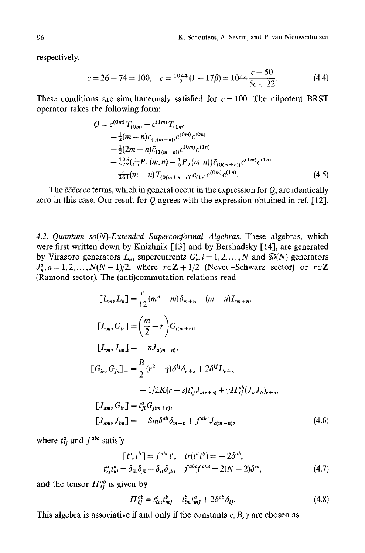respectively,

$$
c = 26 + 74 = 100, \quad c = \frac{1044}{5}(1 - 17\beta) = 1044 \frac{c - 50}{5c + 22}.
$$
 (4.4)

These conditions are simultaneously satisfied for  $c = 100$ . The nilpotent BRST operator takes the following form:

$$
Q = c^{(0m)} T_{(0m)} + c^{(1m)} T_{(1m)}
$$
  
\n
$$
- \frac{1}{2} (m - n) \bar{c}_{(0(m+n))} c^{(0m)} c^{(0n)}
$$
  
\n
$$
- \frac{1}{2} (2m - n) \bar{c}_{(1(m+n))} c^{(0m)} c^{(1n)}
$$
  
\n
$$
- \frac{125}{522} (\frac{1}{15} P_1(m, n) - \frac{1}{6} P_2(m, n)) \bar{c}_{(0(m+n))} c^{(1m)} c^{(1n)}
$$
  
\n
$$
- \frac{4}{261} (m - n) T_{(0(m+n-r))} \bar{c}_{(1r)} c^{(0m)} c^{(1n)}.
$$
\n(4.5)

The *ccccccc* terms, which in general occur in the expression for Q, are identically zero in this case. Our result for  $Q$  agrees with the expression obtained in ref. [12].

*4.2. Quantum so(N)-Extended Superconformal Algebras.* These algebras, which were first written down by Knizhnik [13] and by Bershadsky [14], are generated by Virasoro generators  $L_n$ , supercurrents  $G_r^i$ ,  $i = 1, 2, ..., N$  and  $\widehat{SO}(N)$  generators  $J_n^a$ ,  $a = 1, 2, ..., N(N-1)/2$ , where  $r \in \mathbb{Z} + 1/2$  (Neveu-Schwarz sector) or  $r \in \mathbb{Z}$ (Ramond sector). The (anti)commutation relations read

$$
[L_{m}, L_{n}] = \frac{c}{12}(m^{3} - m)\delta_{m+n} + (m - n)L_{m+n},
$$
  
\n
$$
[L_{m}, G_{ir}] = \left(\frac{m}{2} - r\right)G_{i(m+r)},
$$
  
\n
$$
[L_{m}, J_{an}] = -nJ_{a(m+n)},
$$
  
\n
$$
[G_{ir}, G_{js}]_{+} = \frac{B}{2}(r^{2} - \frac{1}{4})\delta^{ij}\delta_{r+s} + 2\delta^{ij}L_{r+s}
$$
  
\n
$$
+ 1/2K(r - s)t_{ij}^{a}J_{a(r+s)} + \gamma\Pi_{ij}^{ab}(J_{a}J_{b})_{r+s},
$$
  
\n
$$
[J_{am}, G_{ir}] = t_{ji}^{a}G_{j(m+r)},
$$
  
\n
$$
[J_{am}, J_{bn}] = -Sm\delta^{ab}\delta_{m+n} + f^{abc}J_{c(m+n)},
$$
\n(4.6)

where  $t_{ij}^a$  and  $f^{abc}$  satisfy

$$
[t^a, t^b] = f^{abc}t^c, \quad tr(t^at^b) = -2\delta^{ab},
$$
  

$$
t^a_{ij}t^a_{kl} = \delta_{ik}\delta_{jl} - \delta_{il}\delta_{jk}, \quad f^{abc}f^{abd} = 2(N-2)\delta^{cd}, \tag{4.7}
$$

and the tensor  $\prod_{i=1}^{ab}$  is given by

$$
\Pi_{ij}^{ab} = t_{im}^a t_{mj}^b + t_{im}^b t_{mj}^a + 2\delta^{ab} \delta_{ij}.
$$
\n
$$
(4.8)
$$

This algebra is associative if and only if the constants  $c, B, \gamma$  are chosen as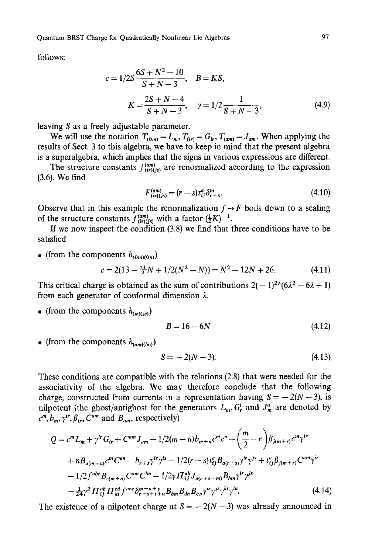follows:

$$
c = 1/2S \frac{6S + N^2 - 10}{S + N - 3}, \quad B = KS,
$$
  

$$
K = \frac{2S + N - 4}{S + N - 3}, \quad \gamma = 1/2 \frac{1}{S + N - 3},
$$
(4.9)

leaving S as a freely adjustable parameter.

We will use the notation  $T_{(0m)} = L_m$ ,  $T_{(ir)} = G_{ir}$ ,  $T_{(am)} = J_{am}$ . When applying the results of Sect. 3 to this algebra, we have to keep in mind that the present algebra is a superalgebra, which implies that the signs in various expressions are different.

The structure constants  $f^{(am)}_{(ir)(is)}$  are renormalized according to the expression (3.6). We find

$$
F_{(ir)(js)}^{(am)} = (r - s)t_{ij}^a \delta_{r+s}^m.
$$
\n(4.10)

Observe that in this example the renormalization  $f \rightarrow F$  boils down to a scaling of the structure constants  $f_{(ir)(js)}^{(am)}$  with a factor  $(\frac{1}{2}K)^{-1}$ .

If we now inspect the condition (3.8) we find that three conditions have to be satisfied

• (from the components  $h_{(0m)(0n)}$ )

$$
c = 2(13 - \frac{11}{2}N + 1/2(N^2 - N)) = N^2 - 12N + 26.
$$
 (4.11)

This critical charge is obtained as the sum of contributions  $2(-1)^{2\lambda} (6\lambda^2 - 6\lambda + 1)$ from each generator of conformal dimension  $\lambda$ .

• (from the components  $h_{(ir)(is)}$ )

$$
B = 16 - 6N\tag{4.12}
$$

• (from the components  $h_{(am)(bn)})$ 

$$
S = -2(N-3). \tag{4.13}
$$

These conditions are compatible with the relations (2.8) that were needed for the associativity of the algebra. We may therefore conclude that the following charge, constructed from currents in a representation having  $S = -2(N - 3)$ , is nilpotent (the ghost/antighost for the generators  $L_m$ ,  $G_r^i$  and  $J_m^a$  are denoted by  $c^m$ ,  $b_m$ ,  $\gamma$ <sup>*ir*</sup>,  $\beta$ <sub>*ir*</sub>,  $C^{am}$  and  $B_{am}$ , respectively)

$$
Q = c^{m} L_{m} + \gamma^{ir} G_{ir} + C^{am} J_{am} - 1/2(m - n) b_{m+n} c^{m} c^{n} + \left(\frac{m}{2} - r\right) \beta_{j(m+r)} c^{m} \gamma^{ir}
$$
  
+  $n B_{a(m+n)} c^{m} C^{an} - b_{r+s} \gamma^{ir} \gamma^{is} - 1/2(r - s) t_{ij}^{a} B_{a(r+s)} \gamma^{ir} \gamma^{js} + t_{ij}^{a} \beta_{j(m+r)} C^{am} \gamma^{ir}$   
-  $1/2 f^{abc} B_{c(m+n)} C^{am} C^{bn} - 1/2 \gamma \Pi_{ij}^{ab} J_{a(r+s-m)} B_{bm} \gamma^{ir} \gamma^{js}$   
-  $\frac{1}{24} \gamma^{2} \Pi_{ij}^{ab} \Pi_{kl}^{cd} f^{ace} \delta_{r+s+t+u}^{m+n+p} B_{bn} B_{ah} B_{ep} \gamma^{ir} \gamma^{js} \gamma^{kt} \gamma^{lu}$ . (4.14)

The existence of a nilpotent charge at  $S = -2(N-3)$  was already announced in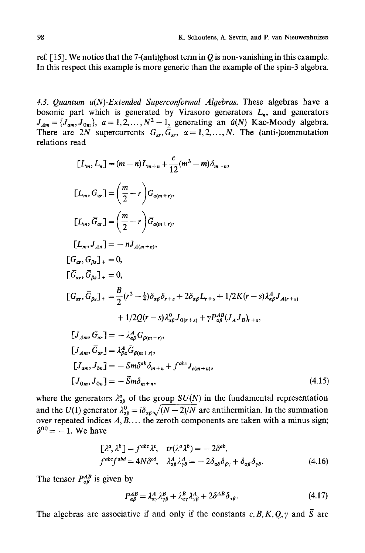ref. [15]. We notice that the 7-(anti)ghost term in Q is non-vanishing in this example. In this respect this example is more generic than the example of the spin-3 algebra.

*4.3. Quantum u(N)-Extended Superconformal Algebras.* These algebras have a bosonic part which is generated by Virasoro generators  $L_n$ , and generators  $J_{Am} = \{J_{am}, J_{0m}\}\text{, } a = 1, 2, \ldots, N^2-1\text{, generating an } \hat{u}(N) \text{ Kac-Moody algebra.}$ There are 2N supercurrents  $G_{\alpha r}$ ,  $G_{\alpha r}$ ,  $\alpha = 1,2,...,N$ . The (anti-)commutation relations read

$$
[L_{m}, L_{n}] = (m - n)L_{m+n} + \frac{c}{12}(m^{3} - m)\delta_{m+n},
$$
  
\n
$$
[L_{m}, G_{ar}] = \left(\frac{m}{2} - r\right)G_{\alpha(m+r)},
$$
  
\n
$$
[L_{m}, \bar{G}_{ar}] = \left(\frac{m}{2} - r\right)\bar{G}_{\alpha(m+r)},
$$
  
\n
$$
[L_{m}, J_{An}] = -nJ_{A(m+n)},
$$
  
\n
$$
[G_{ar}, G_{\beta s}]_{+} = 0,
$$
  
\n
$$
[\bar{G}_{ar}, \bar{G}_{\beta s}]_{+} = 0,
$$
  
\n
$$
[G_{ar}, \bar{G}_{\beta s}]_{+} = \frac{B}{2}(r^{2} - \frac{1}{4})\delta_{\alpha\beta}\delta_{r+s} + 2\delta_{\alpha\beta}L_{r+s} + 1/2K(r - s)\lambda_{\alpha\beta}^{A}J_{A(r+s)} + 1/2Q(r - s)\lambda_{\alpha\beta}^{a}J_{0(r+s)} + \gamma P_{\alpha\beta}^{AB}(J_{A}J_{B})_{r+s},
$$
  
\n
$$
[J_{Am}, G_{ar}] = -\lambda_{\alpha\beta}^{A}G_{\beta(m+r)},
$$
  
\n
$$
[J_{Am}, \bar{G}_{ar}] = \lambda_{\beta\alpha}^{A} \bar{G}_{\beta(m+r)},
$$
  
\n
$$
[J_{am}, J_{bn}] = -Sm\delta^{ab}\delta_{m+n} + f^{abc}J_{c(m+n)},
$$
  
\n
$$
[J_{0m}, J_{0n}] = -\tilde{S}m\delta_{m+n},
$$
  
\n(4.15)

where the generators  $\lambda_{\alpha\beta}^a$  of the group *SU(N)* in the fundamental representation and the U(1) generator  $\lambda_{\alpha\beta}^0 = i\delta_{\alpha\beta}\sqrt{(N-2)/N}$  are antihermitian. In the summation over repeated indices  $A, \tilde{B}, \ldots$  the zeroth components are taken with a minus sign;  $\delta^{00} = -1$ . We have

$$
\begin{aligned}\n\left[\lambda^a, \lambda^b\right] &= f^{abc} \lambda^c, & tr(\lambda^a \lambda^b) &= -2\delta^{ab}, \\
f^{abc} f^{abd} &= 4N \delta^{cd}, & \lambda^A_{\alpha\beta} \lambda^A_{\gamma\delta} &= -2\delta_{\alpha\delta} \delta_{\beta\gamma} + \delta_{\alpha\beta} \delta_{\gamma\delta}.\n\end{aligned} \tag{4.16}
$$

The tensor  $P_{\alpha\beta}^{AB}$  is given by

$$
P_{\alpha\beta}^{AB} = \lambda_{\alpha\gamma}^A \lambda_{\gamma\beta}^B + \lambda_{\alpha\gamma}^B \lambda_{\gamma\beta}^A + 2\delta^{AB} \delta_{\alpha\beta}.
$$
 (4.17)

The algebras are associative if and only if the constants  $c, B, K, O, \gamma$  and  $\tilde{S}$  are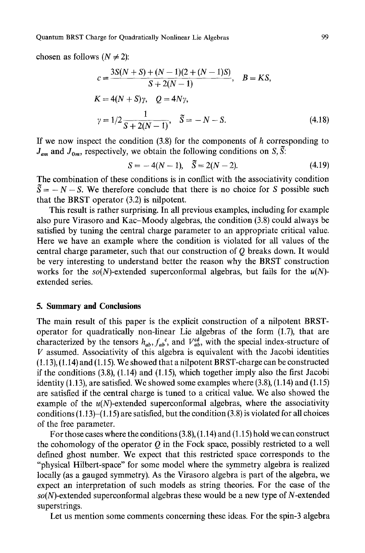Quantum BRST Charge for Quadratically Nonlinear Lie Algebras 99

chosen as follows ( $N \neq 2$ ):

$$
c = \frac{3S(N + S) + (N - 1)(2 + (N - 1)S)}{S + 2(N - 1)}, \quad B = KS,
$$
  
\n
$$
K = 4(N + S)\gamma, \quad Q = 4N\gamma,
$$
  
\n
$$
\gamma = 1/2 \frac{1}{S + 2(N - 1)}, \quad \tilde{S} = -N - S.
$$
\n(4.18)

If we now inspect the condition  $(3.8)$  for the components of h corresponding to  $J_{am}$  and  $J_{0m}$ , respectively, we obtain the following conditions on S, S:

$$
S = -4(N - 1), \quad \tilde{S} = 2(N - 2). \tag{4.19}
$$

The combination of these conditions is in conflict with the associativity condition  $\tilde{S} = -N - S$ . We therefore conclude that there is no choice for S possible such that the BRST operator (3.2) is nilpotent.

This result is rather surprising. In all previous examples, including for example also pure Virasoro and Kac-Moody algebras, the condition (3.8) could always be satisfied by tuning the central charge parameter to an appropriate critical value. Here we have an example where the condition is violated for all values of the central charge parameter, such that our construction of Q breaks down. It would be very interesting to understand better the reason why the BRST construction works for the *so(N)-extended* superconformal algebras, but fails for the *u(N)*  extended series.

#### **5. Summary and Conclusions**

The main result of this paper is the explicit construction of a nilpotent BRSToperator for quadratically non-linear Lie algebras of the form (1.7), that are characterized by the tensors  $h_{ab}$ ,  $f_{ab}^c$ , and  $V_{ab}^{cd}$ , with the special index-structure of V assumed. Associativity of this algebra is equivalent with the Jacobi identities (1.13), (1.14) and (1.15). We showed that a nilpotent BRST-charge can be constructed if the conditions  $(3.8)$ ,  $(1.14)$  and  $(1.15)$ , which together imply also the first Jacobi identity  $(1.13)$ , are satisfied. We showed some examples where  $(3.8)$ ,  $(1.14)$  and  $(1.15)$ are satisfied if the central charge is tuned to a critical value. We also showed the example of the  $u(N)$ -extended superconformal algebras, where the associativity conditions  $(1.13)$ – $(1.15)$  are satisfied, but the condition  $(3.8)$  is violated for all choices of the free parameter.

For those cases where the conditions  $(3.8)$ ,  $(1.14)$  and  $(1.15)$  hold we can construct the cohomology of the operator  $Q$  in the Fock space, possibly restricted to a well defined ghost number. We expect that this restricted space corresponds to the "physical Hilbert-space" for some model where the symmetry algebra is realized locally (as a gauged symmetry). As the Virasoro algebra is part of the algebra, we expect an interpretation of such models as string theories. For the case of the *so(N)-extended* superconformal algebras these would be a new type of N-extended superstrings.

Let us mention some comments concerning these ideas. For the spin-3 algebra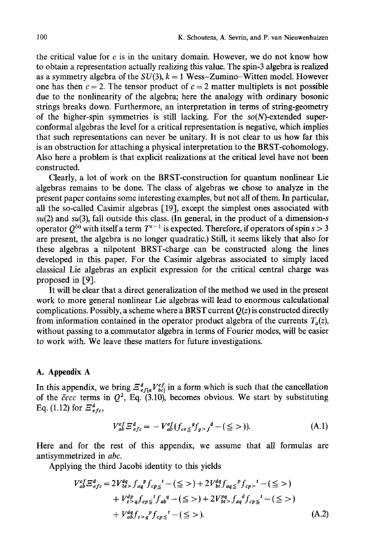the critical value for  $c$  is in the unitary domain. However, we do not know how to obtain a representation actually realizing this value. The spin-3 algebra is realized as a symmetry algebra of the  $SU(3)$ ,  $k = 1$  Wess-Zumino-Witten model. However one has then  $c = 2$ . The tensor product of  $c = 2$  matter multiplets is not possible due to the nonlinearity of the algebra; here the analogy with ordinary bosonic strings breaks down. Furthermore, an interpretation in terms of string-geometry of the higher-spin symmetries is still lacking. For the *so(N)-extended* superconformal algebras the level for a critical representation is negative, which implies that such representations can never be unitary. It is not clear to us how far this is an obstruction for attaching a physical interpretation to the BRST-cohomology. Also here a problem is that explicit realizations at the critical level have not been constructed.

Clearly, a lot of work on the BRST-construction for quantum nonlinear Lie algebras remains to be done. The class of algebras we chose to analyze in the present paper contains some interesting examples, but not all of them. In particular, all the so-called Casimir algebras [19], except the simplest ones associated with  $su(2)$  and  $su(3)$ , fall outside this class. (In general, in the product of a dimension-s operator  $Q^{(s)}$  with itself a term  $T^{s-1}$  is expected. Therefore, if operators of spin  $s > 3$ are present, the algebra is no longer quadratic.) Still, it seems likely that also for these algebras a nilpotent BRST-charge can be constructed along the lines developed in this paper. For the Casimir algebras associated to simply laced classical Lie algebras an explicit expression for the critical central charge was proposed in [9].

It will be clear that a direct generalization of the method we used in the present work to more general nonlinear Lie algebras will lead to enormous calculational complications. Possibly, a scheme where a BRST current *Q(z)* is constructed directly from information contained in the operator product algebra of the currents  $T_a(z)$ , without passing to a commutator algebra in terms of Fourier modes, will be easier to work with. We leave these matters for future investigations.

#### **A. Appendix A**

In this appendix, we bring  $\mathcal{Z}_{eff}^a V_{bq}^{ef}$  in a form which is such that the cancellation of the  $\bar{c}ccc$  terms in  $Q^2$ , Eq. (3.10), becomes obvious. We start by substituting Eq. (1.12) for  $\mathcal{Z}^d_{\text{efc}}$ ,

$$
V_{ab}^{ef} \Xi_{efc}^{d} = -V_{ab}^{ef} (f_{ce} \leq g_{g>f}^{d} - (\leq >)).
$$
 (A.1)

Here and for the rest of this appendix, we assume that all formulas are antisymmetrized in *abe.* 

Applying the third Jacobi identity to this yields

$$
V_{ab}^{ef} \mathbf{E}_{efc}^{d} = 2V_{bt}^{dq} > f_{ap}^{p} f_{cp} \leq^{t} - (\leq >) + 2V_{bt}^{dq} f_{aq} \leq^{p} f_{cp} >^{t} - (\leq >)
$$
  
+  $V_{t}^{dp} f_{cp} \leq^{t} f_{ab}^{q} - (\leq >) + 2V_{bt}^{pq} f_{aq}^{q} f_{cp} \leq^{t} - (\leq >)$   
+  $V_{ab}^{dq} f_{t} \leq_{q}^{p} f_{cp} \leq^{t} - (\leq >).$  (A.2)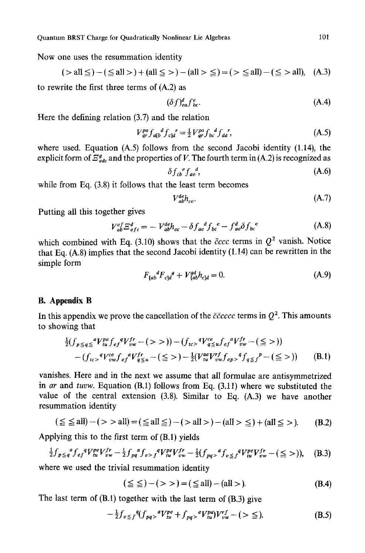Now one uses the resummation identity

$$
(>all \leq) - (\leq all >) + (all \leq >) - (all > \leq) = (> \leq all) - (\leq > all), (A.3)
$$

to rewrite the first three terms of (A.2) as

$$
(\delta f)^d_{ea} f^e_{bc}.\tag{A.4}
$$

Here the defining relation (3.7) and the relation

$$
V_{qr}^{pq} f_{a[b}{}^d f_{c]d}{}^r = \frac{1}{2} V_{qr}^{pq} f_{bc}{}^d f_{da}{}^r,\tag{A.5}
$$

where used. Equation (A.5) follows from the second Jacobi identity (1.14), the explicit form of  $\Xi_{\text{tot}}^g$  and the properties of V. The fourth term in (A.2) is recognized as

$$
\delta f_{cb}{}^e f_{ae},\tag{A.6}
$$

while from Eq. (3.8) it follows that the least term becomes

$$
V_{ab}^{de}h_{ce}.\tag{A.7}
$$

Putting all this together gives

$$
V_{ab}^{ef} E_{efc}^d = - V_{ab}^{de} h_{ec} - \delta f_{ae}^d f_{bc}^e - f_{ae}^d \delta f_{bc}^e
$$
 (A.8)

which combined with Eq. (3.10) shows that the  $\bar{c}ccc$  terms in  $Q^2$  vanish. Notice that Eq. (A.8) implies that the second Jacobi identity (1.14) can be rewritten in the simple form

$$
F_{[ab}{}^d F_{c]d}{}^g + V_{[ab}{}^g h_{c]d} = 0. \tag{A.9}
$$

#### **B. Appendix B**

In this appendix we prove the cancellation of the  $c\bar{c}c\bar{c}c\bar{c}c$  terms in  $Q^2$ . This amounts to showing that

$$
\frac{1}{2}(f_{p \leq q \leq}^{a} V_{tw}^{pe} f_{ef}^{q} V_{vw}^{fr} - (>>)) - (f_{tc>}^{q} V_{q \leq u}^{ce} f_{ef}^{q} V_{vw}^{fr} - (\leq >)) \n- (f_{tc>}^{q} V_{vw}^{ce} f_{ef}^{q} V_{q \leq u}^{fr} - (\leq >) - \frac{1}{2}(V_{tu}^{ae} V_{vw}^{rf} f_{ep}^{q}) g_{q \leq f}^{p} - (\leq >))
$$
\n(B.1)

vanishes. Here and in the next we assume that all formulae are antisymmetrized in *ar* and *tuvw.* Equation (B.1) follows from Eq. (3.11) where we substituted the value of the central extension (3.8). Similar to Eq. (A.3) we have another resummation identity

$$
(\leq \leq \text{all}) - (> \text{all}) = (\leq \text{all} \leq) - (> \text{all} >) - (\text{all} > \leq) + (\text{all} \leq) . \tag{B.2}
$$

Applying this to the first term of (B.1) yields

$$
\frac{1}{2}f_{p\leq q}{}^a f_{ef}{}^q V^{pe}_{tu}V^{fr}_{vw} - \frac{1}{2}f_{pq}{}^a f_{e>}{}^q V^{pe}_{tu}V^{fr}_{vw} - \frac{1}{2}(f_{pq>}{}^a f_{e\leq f}{}^q V^{pe}_{tu}V^{fr}_{vw} - (\leq >)), \quad (B.3)
$$

where we used the trivial resummation identity

$$
(\leq \leq) - ( > ) = (\leq all) - (all >). \tag{B.4}
$$

The last term of  $(B.1)$  together with the last term of  $(B.3)$  give

$$
-\frac{1}{2}f_{e\leq f}^{q}(f_{pq}g^{q}V_{tu}^{pe}+f_{pq}g^{e}V_{tu}^{pq})V_{vw}^{rf}-(\geq \leq).
$$
 (B.5)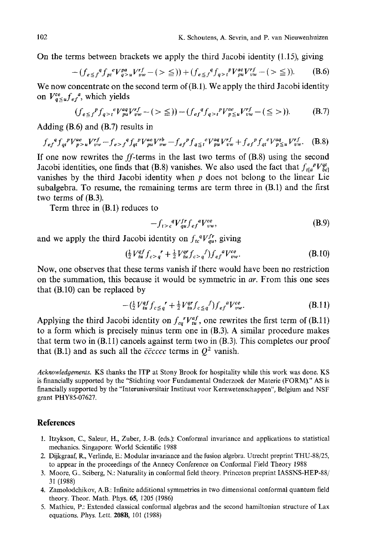On the terms between brackets we apply the third Jacobi identity (1.15), giving

$$
-(f_{e\leq f}^q f_{pi}^{\ e} V_{q>\mu}^{p\alpha} V_{\nu\nu}^{rf}-(\geq \leq)) + (f_{e\leq f}^q f_{q>\nu}^{\ e} V_{\nu\mu}^{r\alpha} V_{\nu\nu}^{rf}-(\geq \leq)).
$$
 (B.6)

We now concentrate on the second term of (B.1). We apply the third Jacobi identity on  $V_{a \leq u}^{ce} f_{ef}^{a}$ , which yields

$$
(f_{e \leq f}^{\ p} f_{q > t}^{\ e} V_{pu}^{aq} V_{vw}^{rf} - (> \leq)) - (f_{ef}^{\ q} f_{q > t}^{\ p} V_{p \leq u}^{ae} V_{vw}^{rf} - (\leq>) ). \tag{B.7}
$$

Adding (B.6) and (B.7) results in

$$
f_{ef}^{q} f_{qi}^{p} V_{p>u}^{ae} V_{vw}^{rf} - f_{e> f}^{q} f_{qi}^{p} V_{pw}^{ae} V_{vw}^{rb} - f_{ef}^{p} f_{q\leq f}^{e} V_{pu}^{aq} V_{vw}^{rf} + f_{ef}^{p} f_{qi}^{e} V_{p\leq u}^{aq} V_{vw}^{rf}. \tag{B.8}
$$

If one now rewrites the  $ff$ -terms in the last two terms of  $(B.8)$  using the second Jacobi identities, one finds that (B.8) vanishes. We also used the fact that  $f_{t[a}^{\ p}V_{bq}^{qt}$ vanishes by the third Jacobi identity when p does not belong to the linear Lie subalgebra. To resume, the remaining terms are term three in (B.1) and the first two terms of (B.3).

Term three in (B.1) reduces to

$$
-f_{t>c}^{q}V_{qu}^{fr}f_{ef}^{a}V_{vw}^{ce},\tag{B.9}
$$

and we apply the third Jacobi identity on  $f_{tc}^{q}V_{qu}^{fr}$ , giving

$$
\left(\frac{1}{2}V_{tu}^{qf}f_{c>q}^{\quad r}+\frac{1}{2}V_{tu}^{qr}f_{c>q}^{\quad f}\right)f_{ef}^{q}V_{vw}^{ce}.\tag{B.10}
$$

Now, one observes that these terms vanish if there would have been no restriction on the summation, this because it would be symmetric in *ar.* From this one sees that (B.IO) can be replaced by

$$
-(\frac{1}{2}V_{tu}^{qf}f_{c\leq q}^{\prime} + \frac{1}{2}V_{tu}^{qr}f_{c\leq q}^{\prime}f) f_{ef}^{q}V_{vw}^{ce}.
$$
 (B.11)

Applying the third Jacobi identity on  $f_{cq}^r V_{tu}^{af}$ , one rewrites the first term of (B.11) to a form which is precisely minus term one in (B.3). A similar procedure makes that term two in (B. 11) cancels against term two in (B.3). This completes our proof that (B.1) and as such all the  $c\bar{c}c\bar{c}c\bar{c}c$  terms in  $Q^2$  vanish.

*Acknowledgements.* KS thanks the ITP at Stony Brook for hospitality while this work was done. KS is financially supported by the "Stichting voor Fundamental Onderzoek der Materie (FORM)." AS is financially supported by the "Interuniversitair Instituut voor Kernwetenschappen', Belgium and NSF grant PHY85-07627.

#### **References**

- l. Itzykson, C., Saleur, H., Zuber, J.-B. (eds.): Conformal invariance and applications to statistical mechanics. Singapore: World Scientific 1988
- 2. Dijkgraaf, R., Verlinde, E.: Modular invariance and the fusion algebra. Utrecht preprint THU-88/25, to appear in the proceedings of the Annecy Conference on Conformal Field Theory 1988
- 3. Moore, G.. Seiberg, N.: Naturality in conformal field theory. Princeton preprint IASSNS-HEP-88/ 31 (1988)
- 4. Zamolodchikov, A.B.: Infinite additional symmetries in two dimensional conformal quantum field theory. Theor. Math. Phys. 65, 1205 (1986)
- 5. Mathieu, P.: Extended classical conformal algebras and the second hamiltonian structure of Lax equations. Phys. Lett. 208B, 101 (1988)